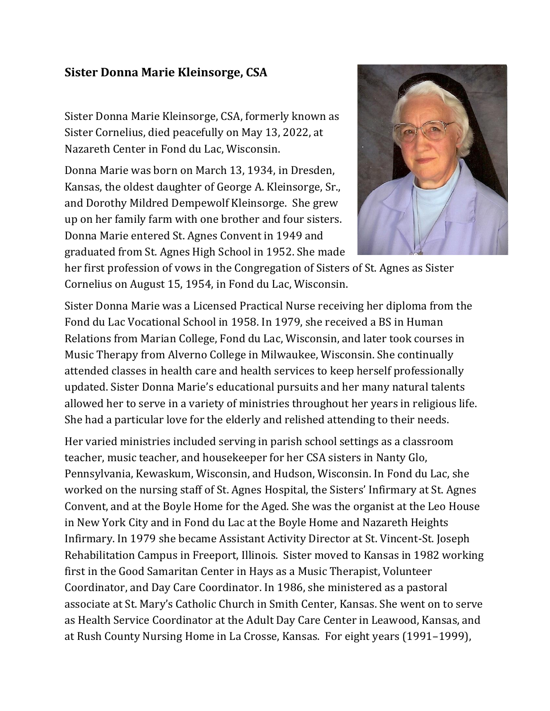## **Sister Donna Marie Kleinsorge, CSA**

Sister Donna Marie Kleinsorge, CSA, formerly known as Sister Cornelius, died peacefully on May 13, 2022, at Nazareth Center in Fond du Lac, Wisconsin.

Donna Marie was born on March 13, 1934, in Dresden, Kansas, the oldest daughter of George A. Kleinsorge, Sr., and Dorothy Mildred Dempewolf Kleinsorge. She grew up on her family farm with one brother and four sisters. Donna Marie entered St. Agnes Convent in 1949 and graduated from St. Agnes High School in 1952. She made



her first profession of vows in the Congregation of Sisters of St. Agnes as Sister Cornelius on August 15, 1954, in Fond du Lac, Wisconsin.

Sister Donna Marie was a Licensed Practical Nurse receiving her diploma from the Fond du Lac Vocational School in 1958. In 1979, she received a BS in Human Relations from Marian College, Fond du Lac, Wisconsin, and later took courses in Music Therapy from Alverno College in Milwaukee, Wisconsin. She continually attended classes in health care and health services to keep herself professionally updated. Sister Donna Marie's educational pursuits and her many natural talents allowed her to serve in a variety of ministries throughout her years in religious life. She had a particular love for the elderly and relished attending to their needs.

Her varied ministries included serving in parish school settings as a classroom teacher, music teacher, and housekeeper for her CSA sisters in Nanty Glo, Pennsylvania, Kewaskum, Wisconsin, and Hudson, Wisconsin. In Fond du Lac, she worked on the nursing staff of St. Agnes Hospital, the Sisters' Infirmary at St. Agnes Convent, and at the Boyle Home for the Aged. She was the organist at the Leo House in New York City and in Fond du Lac at the Boyle Home and Nazareth Heights Infirmary. In 1979 she became Assistant Activity Director at St. Vincent-St. Joseph Rehabilitation Campus in Freeport, Illinois. Sister moved to Kansas in 1982 working first in the Good Samaritan Center in Hays as a Music Therapist, Volunteer Coordinator, and Day Care Coordinator. In 1986, she ministered as a pastoral associate at St. Mary's Catholic Church in Smith Center, Kansas. She went on to serve as Health Service Coordinator at the Adult Day Care Center in Leawood, Kansas, and at Rush County Nursing Home in La Crosse, Kansas. For eight years (1991–1999),